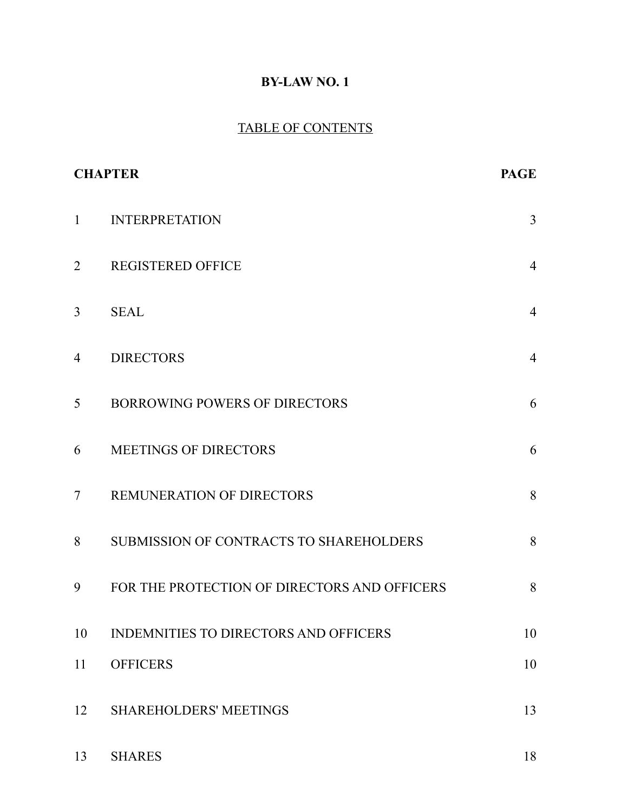# **BY-LAW NO. 1**

# TABLE OF CONTENTS

| <b>CHAPTER</b> | <b>PAGE</b>                                    |                |
|----------------|------------------------------------------------|----------------|
| $\mathbf{1}$   | <b>INTERPRETATION</b>                          | $\overline{3}$ |
| $\overline{2}$ | <b>REGISTERED OFFICE</b>                       | $\overline{4}$ |
| 3              | <b>SEAL</b>                                    | $\overline{4}$ |
| $\overline{4}$ | <b>DIRECTORS</b>                               | $\overline{4}$ |
| 5              | <b>BORROWING POWERS OF DIRECTORS</b>           | 6              |
| 6              | <b>MEETINGS OF DIRECTORS</b>                   | 6              |
| $\overline{7}$ | <b>REMUNERATION OF DIRECTORS</b>               | 8              |
| 8              | <b>SUBMISSION OF CONTRACTS TO SHAREHOLDERS</b> | 8              |
| 9              | FOR THE PROTECTION OF DIRECTORS AND OFFICERS   | 8              |
| 10             | INDEMNITIES TO DIRECTORS AND OFFICERS          | 10             |
| 11             | <b>OFFICERS</b>                                | 10             |
| 12             | <b>SHAREHOLDERS' MEETINGS</b>                  | 13             |
| 13             | <b>SHARES</b>                                  | 18             |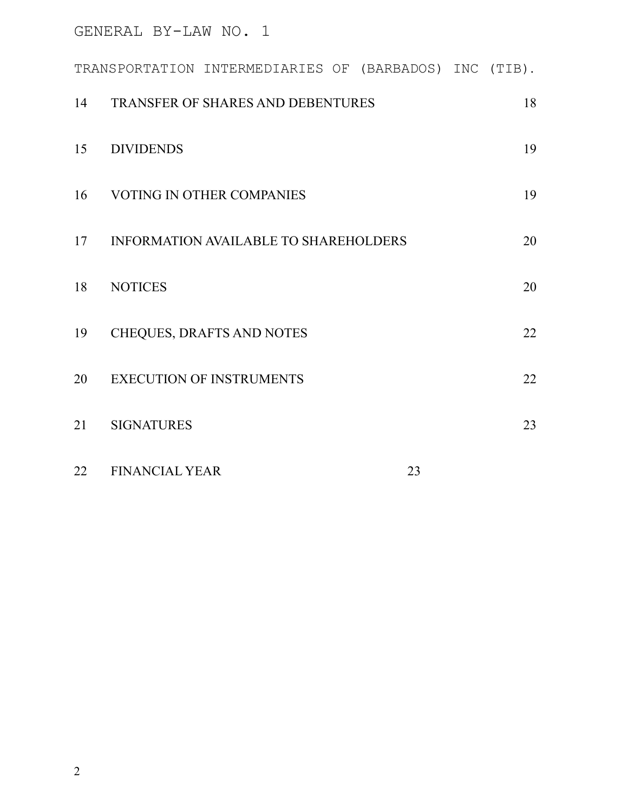|    | TRANSPORTATION INTERMEDIARIES OF (BARBADOS) INC (TIB). |  |  |    |  |    |
|----|--------------------------------------------------------|--|--|----|--|----|
| 14 | TRANSFER OF SHARES AND DEBENTURES                      |  |  |    |  | 18 |
| 15 | <b>DIVIDENDS</b>                                       |  |  |    |  | 19 |
| 16 | VOTING IN OTHER COMPANIES                              |  |  |    |  | 19 |
| 17 | <b>INFORMATION AVAILABLE TO SHAREHOLDERS</b>           |  |  |    |  | 20 |
| 18 | <b>NOTICES</b>                                         |  |  |    |  | 20 |
| 19 | CHEQUES, DRAFTS AND NOTES                              |  |  |    |  | 22 |
| 20 | <b>EXECUTION OF INSTRUMENTS</b>                        |  |  |    |  | 22 |
| 21 | <b>SIGNATURES</b>                                      |  |  |    |  | 23 |
| 22 | <b>FINANCIAL YEAR</b>                                  |  |  | 23 |  |    |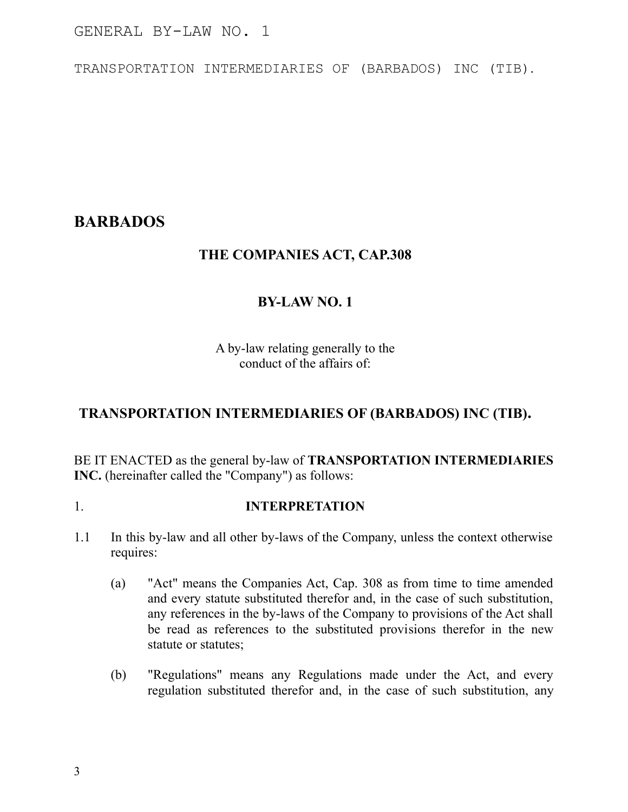TRANSPORTATION INTERMEDIARIES OF (BARBADOS) INC (TIB).

# **BARBADOS**

# **THE COMPANIES ACT, CAP.308**

# **BY-LAW NO. 1**

A by-law relating generally to the conduct of the affairs of:

# **TRANSPORTATION INTERMEDIARIES OF (BARBADOS) INC (TIB).**

BE IT ENACTED as the general by-law of **TRANSPORTATION INTERMEDIARIES INC.** (hereinafter called the "Company") as follows:

### 1. **INTERPRETATION**

- 1.1 In this by-law and all other by-laws of the Company, unless the context otherwise requires:
	- (a) "Act" means the Companies Act, Cap. 308 as from time to time amended and every statute substituted therefor and, in the case of such substitution, any references in the by-laws of the Company to provisions of the Act shall be read as references to the substituted provisions therefor in the new statute or statutes;
	- (b) "Regulations" means any Regulations made under the Act, and every regulation substituted therefor and, in the case of such substitution, any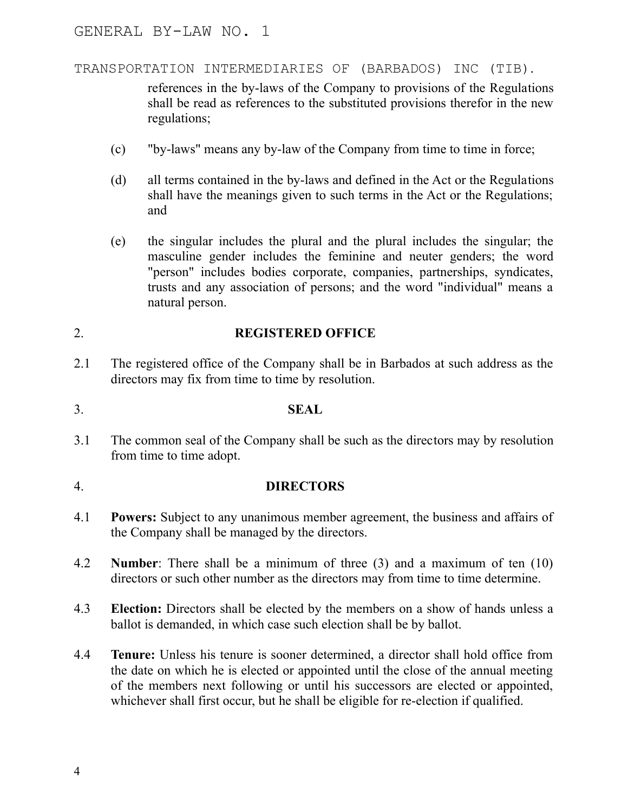### TRANSPORTATION INTERMEDIARIES OF (BARBADOS) INC (TIB).

references in the by-laws of the Company to provisions of the Regulations shall be read as references to the substituted provisions therefor in the new regulations;

- (c) "by-laws" means any by-law of the Company from time to time in force;
- (d) all terms contained in the by-laws and defined in the Act or the Regulations shall have the meanings given to such terms in the Act or the Regulations; and
- (e) the singular includes the plural and the plural includes the singular; the masculine gender includes the feminine and neuter genders; the word "person" includes bodies corporate, companies, partnerships, syndicates, trusts and any association of persons; and the word "individual" means a natural person.

# 2. **REGISTERED OFFICE**

- 2.1 The registered office of the Company shall be in Barbados at such address as the directors may fix from time to time by resolution.
- 3. **SEAL**
- 3.1 The common seal of the Company shall be such as the directors may by resolution from time to time adopt.

# 4. **DIRECTORS**

- 4.1 **Powers:** Subject to any unanimous member agreement, the business and affairs of the Company shall be managed by the directors.
- 4.2 **Number**: There shall be a minimum of three (3) and a maximum of ten (10) directors or such other number as the directors may from time to time determine.
- 4.3 **Election:** Directors shall be elected by the members on a show of hands unless a ballot is demanded, in which case such election shall be by ballot.
- 4.4 **Tenure:** Unless his tenure is sooner determined, a director shall hold office from the date on which he is elected or appointed until the close of the annual meeting of the members next following or until his successors are elected or appointed, whichever shall first occur, but he shall be eligible for re-election if qualified.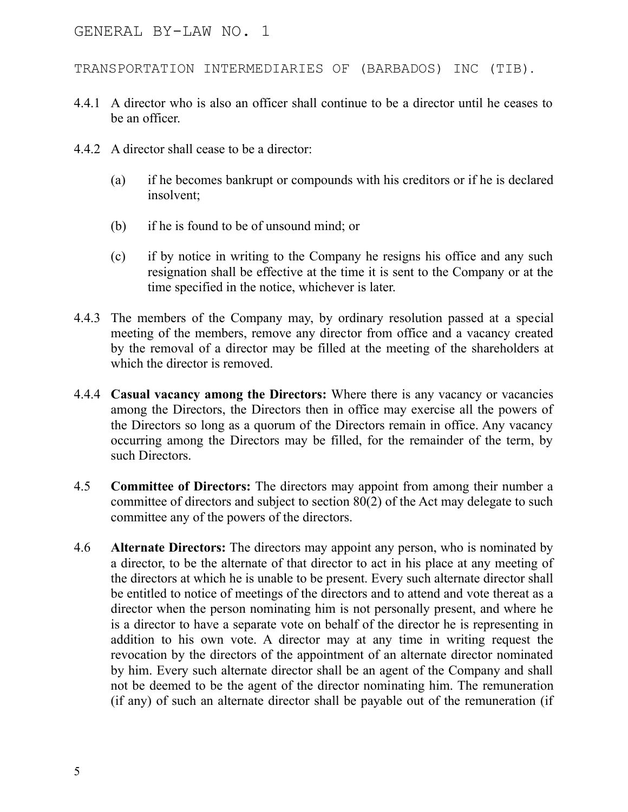TRANSPORTATION INTERMEDIARIES OF (BARBADOS) INC (TIB).

- 4.4.1 A director who is also an officer shall continue to be a director until he ceases to be an officer.
- 4.4.2 A director shall cease to be a director:
	- (a) if he becomes bankrupt or compounds with his creditors or if he is declared insolvent;
	- (b) if he is found to be of unsound mind; or
	- (c) if by notice in writing to the Company he resigns his office and any such resignation shall be effective at the time it is sent to the Company or at the time specified in the notice, whichever is later.
- 4.4.3 The members of the Company may, by ordinary resolution passed at a special meeting of the members, remove any director from office and a vacancy created by the removal of a director may be filled at the meeting of the shareholders at which the director is removed.
- 4.4.4 **Casual vacancy among the Directors:** Where there is any vacancy or vacancies among the Directors, the Directors then in office may exercise all the powers of the Directors so long as a quorum of the Directors remain in office. Any vacancy occurring among the Directors may be filled, for the remainder of the term, by such Directors.
- 4.5 **Committee of Directors:** The directors may appoint from among their number a committee of directors and subject to section 80(2) of the Act may delegate to such committee any of the powers of the directors.
- 4.6 **Alternate Directors:** The directors may appoint any person, who is nominated by a director, to be the alternate of that director to act in his place at any meeting of the directors at which he is unable to be present. Every such alternate director shall be entitled to notice of meetings of the directors and to attend and vote thereat as a director when the person nominating him is not personally present, and where he is a director to have a separate vote on behalf of the director he is representing in addition to his own vote. A director may at any time in writing request the revocation by the directors of the appointment of an alternate director nominated by him. Every such alternate director shall be an agent of the Company and shall not be deemed to be the agent of the director nominating him. The remuneration (if any) of such an alternate director shall be payable out of the remuneration (if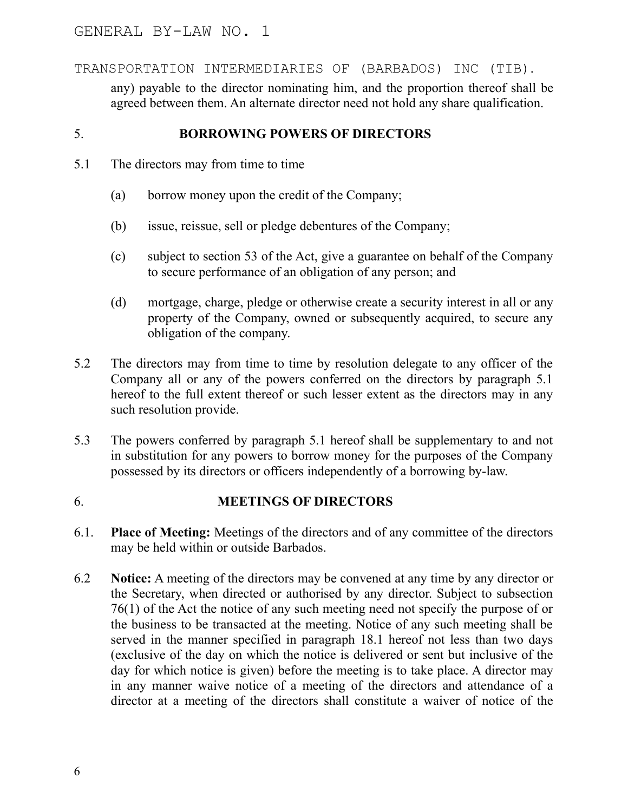any) payable to the director nominating him, and the proportion thereof shall be agreed between them. An alternate director need not hold any share qualification.

## 5. **BORROWING POWERS OF DIRECTORS**

- 5.1 The directors may from time to time
	- (a) borrow money upon the credit of the Company;
	- (b) issue, reissue, sell or pledge debentures of the Company;
	- (c) subject to section 53 of the Act, give a guarantee on behalf of the Company to secure performance of an obligation of any person; and
	- (d) mortgage, charge, pledge or otherwise create a security interest in all or any property of the Company, owned or subsequently acquired, to secure any obligation of the company.
- 5.2 The directors may from time to time by resolution delegate to any officer of the Company all or any of the powers conferred on the directors by paragraph 5.1 hereof to the full extent thereof or such lesser extent as the directors may in any such resolution provide.
- 5.3 The powers conferred by paragraph 5.1 hereof shall be supplementary to and not in substitution for any powers to borrow money for the purposes of the Company possessed by its directors or officers independently of a borrowing by-law.

### 6. **MEETINGS OF DIRECTORS**

- 6.1. **Place of Meeting:** Meetings of the directors and of any committee of the directors may be held within or outside Barbados.
- 6.2 **Notice:** A meeting of the directors may be convened at any time by any director or the Secretary, when directed or authorised by any director. Subject to subsection 76(1) of the Act the notice of any such meeting need not specify the purpose of or the business to be transacted at the meeting. Notice of any such meeting shall be served in the manner specified in paragraph 18.1 hereof not less than two days (exclusive of the day on which the notice is delivered or sent but inclusive of the day for which notice is given) before the meeting is to take place. A director may in any manner waive notice of a meeting of the directors and attendance of a director at a meeting of the directors shall constitute a waiver of notice of the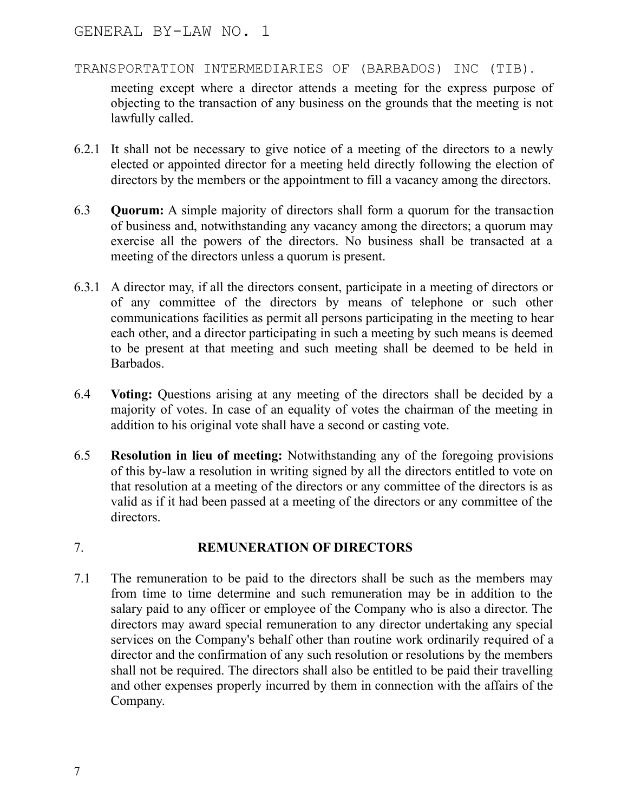meeting except where a director attends a meeting for the express purpose of objecting to the transaction of any business on the grounds that the meeting is not lawfully called.

- 6.2.1 It shall not be necessary to give notice of a meeting of the directors to a newly elected or appointed director for a meeting held directly following the election of directors by the members or the appointment to fill a vacancy among the directors.
- 6.3 **Quorum:** A simple majority of directors shall form a quorum for the transaction of business and, notwithstanding any vacancy among the directors; a quorum may exercise all the powers of the directors. No business shall be transacted at a meeting of the directors unless a quorum is present.
- 6.3.1 A director may, if all the directors consent, participate in a meeting of directors or of any committee of the directors by means of telephone or such other communications facilities as permit all persons participating in the meeting to hear each other, and a director participating in such a meeting by such means is deemed to be present at that meeting and such meeting shall be deemed to be held in Barbados.
- 6.4 **Voting:** Questions arising at any meeting of the directors shall be decided by a majority of votes. In case of an equality of votes the chairman of the meeting in addition to his original vote shall have a second or casting vote.
- 6.5 **Resolution in lieu of meeting:** Notwithstanding any of the foregoing provisions of this by-law a resolution in writing signed by all the directors entitled to vote on that resolution at a meeting of the directors or any committee of the directors is as valid as if it had been passed at a meeting of the directors or any committee of the directors.

# 7. **REMUNERATION OF DIRECTORS**

7.1 The remuneration to be paid to the directors shall be such as the members may from time to time determine and such remuneration may be in addition to the salary paid to any officer or employee of the Company who is also a director. The directors may award special remuneration to any director undertaking any special services on the Company's behalf other than routine work ordinarily required of a director and the confirmation of any such resolution or resolutions by the members shall not be required. The directors shall also be entitled to be paid their travelling and other expenses properly incurred by them in connection with the affairs of the Company.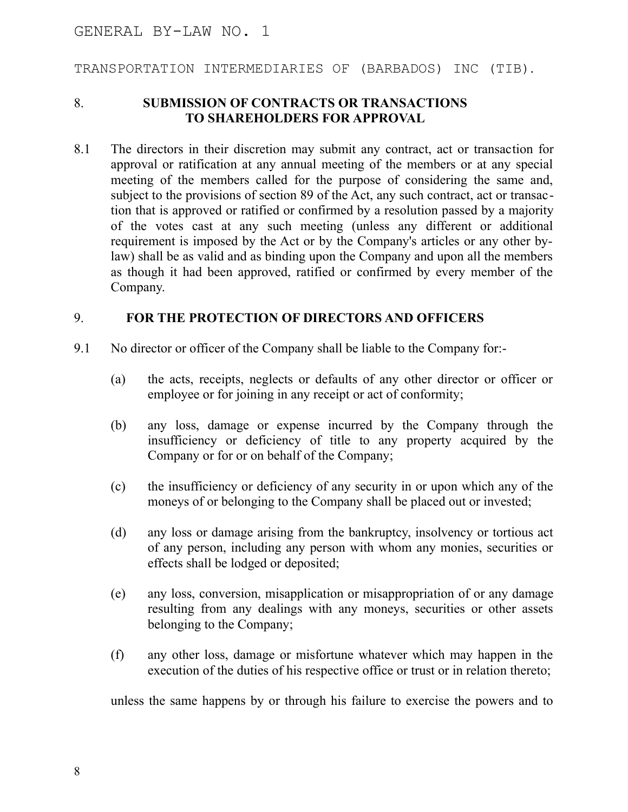TRANSPORTATION INTERMEDIARIES OF (BARBADOS) INC (TIB).

#### 8. **SUBMISSION OF CONTRACTS OR TRANSACTIONS TO SHAREHOLDERS FOR APPROVAL**

8.1 The directors in their discretion may submit any contract, act or transaction for approval or ratification at any annual meeting of the members or at any special meeting of the members called for the purpose of considering the same and, subject to the provisions of section 89 of the Act, any such contract, act or transaction that is approved or ratified or confirmed by a resolution passed by a majority of the votes cast at any such meeting (unless any different or additional requirement is imposed by the Act or by the Company's articles or any other bylaw) shall be as valid and as binding upon the Company and upon all the members as though it had been approved, ratified or confirmed by every member of the Company.

#### 9. **FOR THE PROTECTION OF DIRECTORS AND OFFICERS**

- 9.1 No director or officer of the Company shall be liable to the Company for:-
	- (a) the acts, receipts, neglects or defaults of any other director or officer or employee or for joining in any receipt or act of conformity;
	- (b) any loss, damage or expense incurred by the Company through the insufficiency or deficiency of title to any property acquired by the Company or for or on behalf of the Company;
	- (c) the insufficiency or deficiency of any security in or upon which any of the moneys of or belonging to the Company shall be placed out or invested;
	- (d) any loss or damage arising from the bankruptcy, insolvency or tortious act of any person, including any person with whom any monies, securities or effects shall be lodged or deposited;
	- (e) any loss, conversion, misapplication or misappropriation of or any damage resulting from any dealings with any moneys, securities or other assets belonging to the Company;
	- (f) any other loss, damage or misfortune whatever which may happen in the execution of the duties of his respective office or trust or in relation thereto;

unless the same happens by or through his failure to exercise the powers and to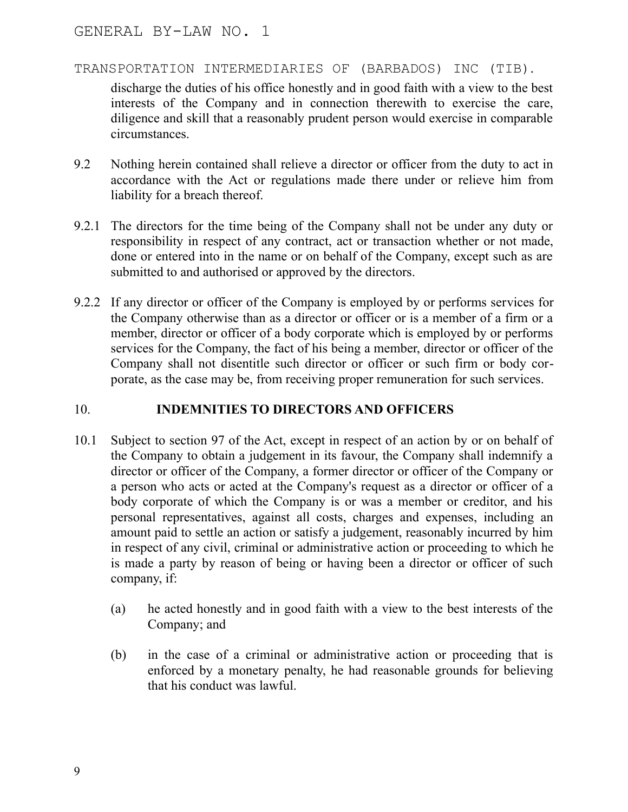discharge the duties of his office honestly and in good faith with a view to the best interests of the Company and in connection therewith to exercise the care, diligence and skill that a reasonably prudent person would exercise in comparable circumstances.

- 9.2 Nothing herein contained shall relieve a director or officer from the duty to act in accordance with the Act or regulations made there under or relieve him from liability for a breach thereof.
- 9.2.1 The directors for the time being of the Company shall not be under any duty or responsibility in respect of any contract, act or transaction whether or not made, done or entered into in the name or on behalf of the Company, except such as are submitted to and authorised or approved by the directors.
- 9.2.2 If any director or officer of the Company is employed by or performs services for the Company otherwise than as a director or officer or is a member of a firm or a member, director or officer of a body corporate which is employed by or performs services for the Company, the fact of his being a member, director or officer of the Company shall not disentitle such director or officer or such firm or body corporate, as the case may be, from receiving proper remuneration for such services.

## 10. **INDEMNITIES TO DIRECTORS AND OFFICERS**

- 10.1 Subject to section 97 of the Act, except in respect of an action by or on behalf of the Company to obtain a judgement in its favour, the Company shall indemnify a director or officer of the Company, a former director or officer of the Company or a person who acts or acted at the Company's request as a director or officer of a body corporate of which the Company is or was a member or creditor, and his personal representatives, against all costs, charges and expenses, including an amount paid to settle an action or satisfy a judgement, reasonably incurred by him in respect of any civil, criminal or administrative action or proceeding to which he is made a party by reason of being or having been a director or officer of such company, if:
	- (a) he acted honestly and in good faith with a view to the best interests of the Company; and
	- (b) in the case of a criminal or administrative action or proceeding that is enforced by a monetary penalty, he had reasonable grounds for believing that his conduct was lawful.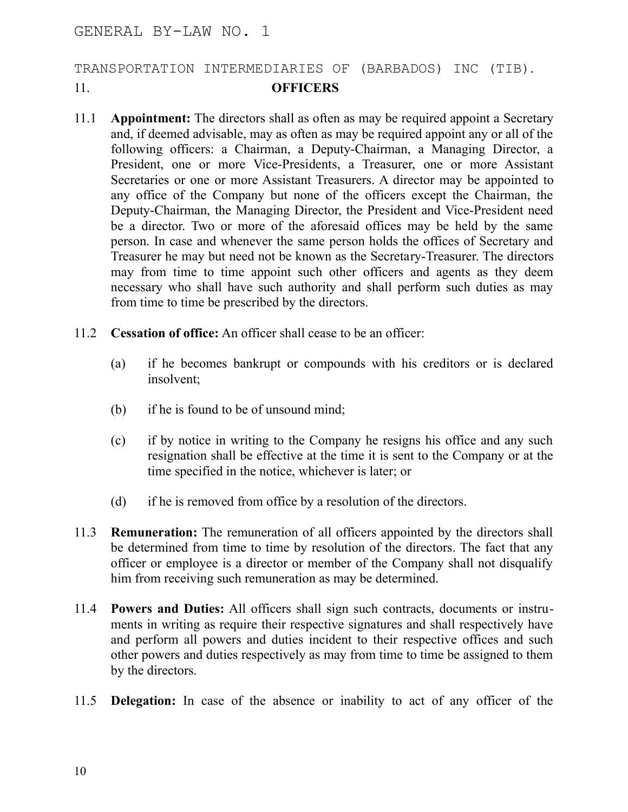# TRANSPORTATION INTERMEDIARIES OF (BARBADOS) INC (TIB). 11. **OFFICERS**

- 11.1 **Appointment:** The directors shall as often as may be required appoint a Secretary and, if deemed advisable, may as often as may be required appoint any or all of the following officers: a Chairman, a Deputy-Chairman, a Managing Director, a President, one or more Vice-Presidents, a Treasurer, one or more Assistant Secretaries or one or more Assistant Treasurers. A director may be appointed to any office of the Company but none of the officers except the Chairman, the Deputy-Chairman, the Managing Director, the President and Vice-President need be a director. Two or more of the aforesaid offices may be held by the same person. In case and whenever the same person holds the offices of Secretary and Treasurer he may but need not be known as the Secretary-Treasurer. The directors may from time to time appoint such other officers and agents as they deem necessary who shall have such authority and shall perform such duties as may from time to time be prescribed by the directors.
- 11.2 **Cessation of office:** An officer shall cease to be an officer:
	- (a) if he becomes bankrupt or compounds with his creditors or is declared insolvent;
	- (b) if he is found to be of unsound mind;
	- (c) if by notice in writing to the Company he resigns his office and any such resignation shall be effective at the time it is sent to the Company or at the time specified in the notice, whichever is later; or
	- (d) if he is removed from office by a resolution of the directors.
- 11.3 **Remuneration:** The remuneration of all officers appointed by the directors shall be determined from time to time by resolution of the directors. The fact that any officer or employee is a director or member of the Company shall not disqualify him from receiving such remuneration as may be determined.
- 11.4 **Powers and Duties:** All officers shall sign such contracts, documents or instruments in writing as require their respective signatures and shall respectively have and perform all powers and duties incident to their respective offices and such other powers and duties respectively as may from time to time be assigned to them by the directors.
- 11.5 **Delegation:** In case of the absence or inability to act of any officer of the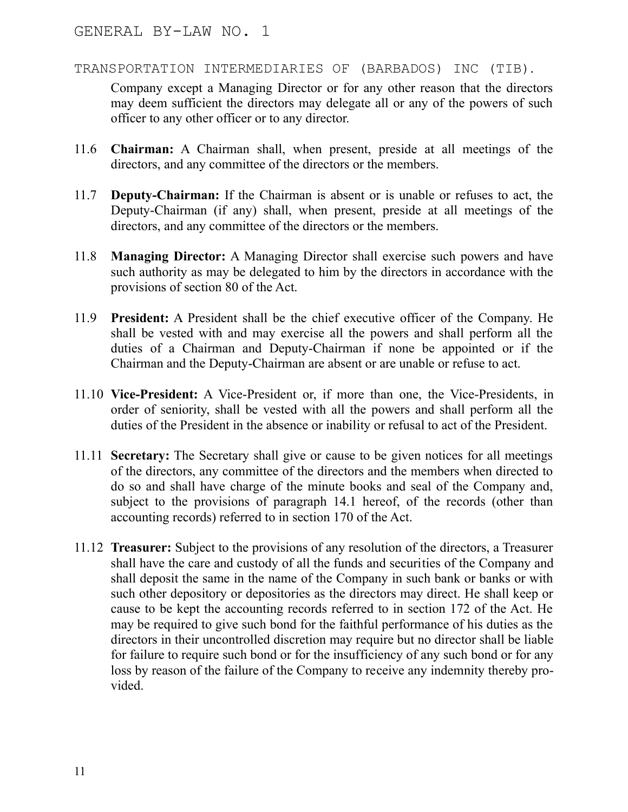Company except a Managing Director or for any other reason that the directors may deem sufficient the directors may delegate all or any of the powers of such officer to any other officer or to any director.

- 11.6 **Chairman:** A Chairman shall, when present, preside at all meetings of the directors, and any committee of the directors or the members.
- 11.7 **Deputy-Chairman:** If the Chairman is absent or is unable or refuses to act, the Deputy-Chairman (if any) shall, when present, preside at all meetings of the directors, and any committee of the directors or the members.
- 11.8 **Managing Director:** A Managing Director shall exercise such powers and have such authority as may be delegated to him by the directors in accordance with the provisions of section 80 of the Act.
- 11.9 **President:** A President shall be the chief executive officer of the Company. He shall be vested with and may exercise all the powers and shall perform all the duties of a Chairman and Deputy-Chairman if none be appointed or if the Chairman and the Deputy-Chairman are absent or are unable or refuse to act.
- 11.10 **Vice-President:** A Vice-President or, if more than one, the Vice-Presidents, in order of seniority, shall be vested with all the powers and shall perform all the duties of the President in the absence or inability or refusal to act of the President.
- 11.11 **Secretary:** The Secretary shall give or cause to be given notices for all meetings of the directors, any committee of the directors and the members when directed to do so and shall have charge of the minute books and seal of the Company and, subject to the provisions of paragraph 14.1 hereof, of the records (other than accounting records) referred to in section 170 of the Act.
- 11.12 **Treasurer:** Subject to the provisions of any resolution of the directors, a Treasurer shall have the care and custody of all the funds and securities of the Company and shall deposit the same in the name of the Company in such bank or banks or with such other depository or depositories as the directors may direct. He shall keep or cause to be kept the accounting records referred to in section 172 of the Act. He may be required to give such bond for the faithful performance of his duties as the directors in their uncontrolled discretion may require but no director shall be liable for failure to require such bond or for the insufficiency of any such bond or for any loss by reason of the failure of the Company to receive any indemnity thereby provided.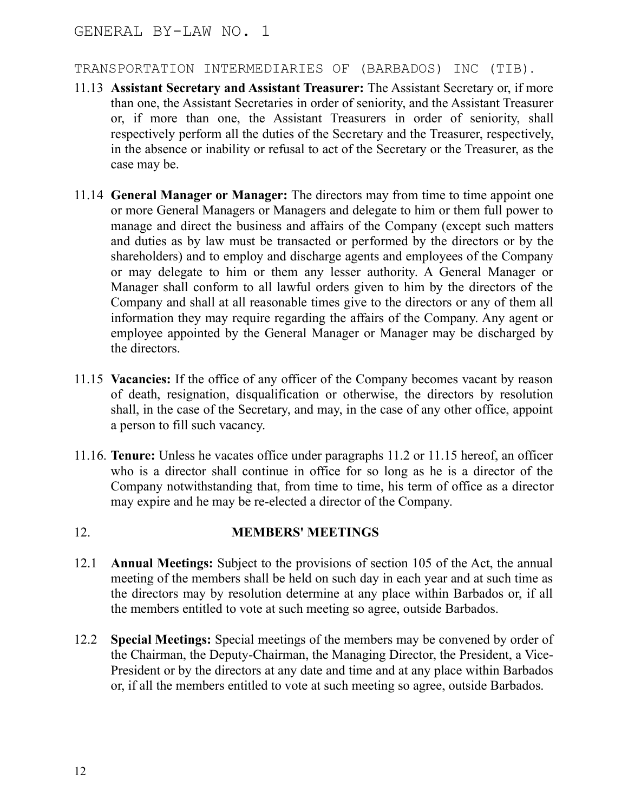- 11.13 **Assistant Secretary and Assistant Treasurer:** The Assistant Secretary or, if more than one, the Assistant Secretaries in order of seniority, and the Assistant Treasurer or, if more than one, the Assistant Treasurers in order of seniority, shall respectively perform all the duties of the Secretary and the Treasurer, respectively, in the absence or inability or refusal to act of the Secretary or the Treasurer, as the case may be.
- 11.14 **General Manager or Manager:** The directors may from time to time appoint one or more General Managers or Managers and delegate to him or them full power to manage and direct the business and affairs of the Company (except such matters and duties as by law must be transacted or performed by the directors or by the shareholders) and to employ and discharge agents and employees of the Company or may delegate to him or them any lesser authority. A General Manager or Manager shall conform to all lawful orders given to him by the directors of the Company and shall at all reasonable times give to the directors or any of them all information they may require regarding the affairs of the Company. Any agent or employee appointed by the General Manager or Manager may be discharged by the directors.
- 11.15 **Vacancies:** If the office of any officer of the Company becomes vacant by reason of death, resignation, disqualification or otherwise, the directors by resolution shall, in the case of the Secretary, and may, in the case of any other office, appoint a person to fill such vacancy.
- 11.16. **Tenure:** Unless he vacates office under paragraphs 11.2 or 11.15 hereof, an officer who is a director shall continue in office for so long as he is a director of the Company notwithstanding that, from time to time, his term of office as a director may expire and he may be re-elected a director of the Company.

# 12. **MEMBERS' MEETINGS**

- 12.1 **Annual Meetings:** Subject to the provisions of section 105 of the Act, the annual meeting of the members shall be held on such day in each year and at such time as the directors may by resolution determine at any place within Barbados or, if all the members entitled to vote at such meeting so agree, outside Barbados.
- 12.2 **Special Meetings:** Special meetings of the members may be convened by order of the Chairman, the Deputy-Chairman, the Managing Director, the President, a Vice-President or by the directors at any date and time and at any place within Barbados or, if all the members entitled to vote at such meeting so agree, outside Barbados.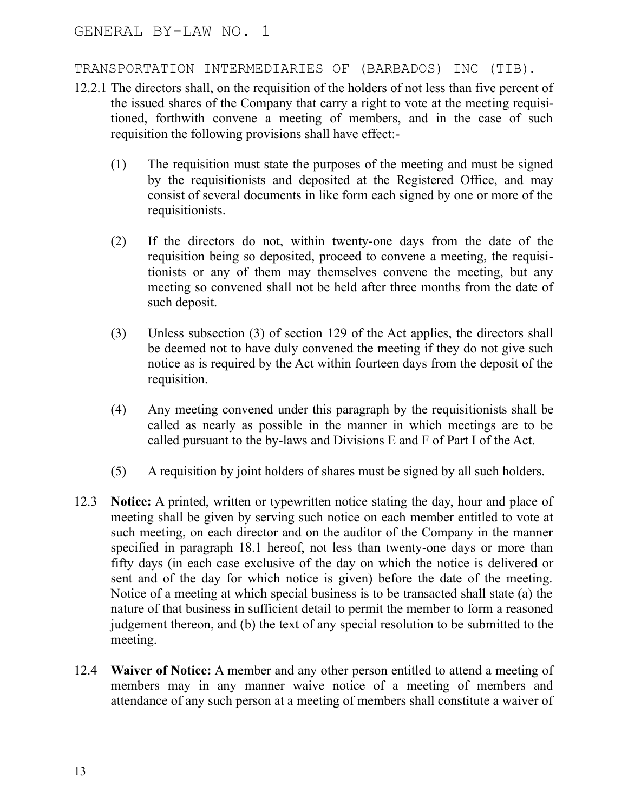## TRANSPORTATION INTERMEDIARIES OF (BARBADOS) INC (TIB).

- 12.2.1 The directors shall, on the requisition of the holders of not less than five percent of the issued shares of the Company that carry a right to vote at the meeting requisitioned, forthwith convene a meeting of members, and in the case of such requisition the following provisions shall have effect:-
	- (1) The requisition must state the purposes of the meeting and must be signed by the requisitionists and deposited at the Registered Office, and may consist of several documents in like form each signed by one or more of the requisitionists.
	- (2) If the directors do not, within twenty-one days from the date of the requisition being so deposited, proceed to convene a meeting, the requisitionists or any of them may themselves convene the meeting, but any meeting so convened shall not be held after three months from the date of such deposit.
	- (3) Unless subsection (3) of section 129 of the Act applies, the directors shall be deemed not to have duly convened the meeting if they do not give such notice as is required by the Act within fourteen days from the deposit of the requisition.
	- (4) Any meeting convened under this paragraph by the requisitionists shall be called as nearly as possible in the manner in which meetings are to be called pursuant to the by-laws and Divisions E and F of Part I of the Act.
	- (5) A requisition by joint holders of shares must be signed by all such holders.
- 12.3 **Notice:** A printed, written or typewritten notice stating the day, hour and place of meeting shall be given by serving such notice on each member entitled to vote at such meeting, on each director and on the auditor of the Company in the manner specified in paragraph 18.1 hereof, not less than twenty-one days or more than fifty days (in each case exclusive of the day on which the notice is delivered or sent and of the day for which notice is given) before the date of the meeting. Notice of a meeting at which special business is to be transacted shall state (a) the nature of that business in sufficient detail to permit the member to form a reasoned judgement thereon, and (b) the text of any special resolution to be submitted to the meeting.
- 12.4 **Waiver of Notice:** A member and any other person entitled to attend a meeting of members may in any manner waive notice of a meeting of members and attendance of any such person at a meeting of members shall constitute a waiver of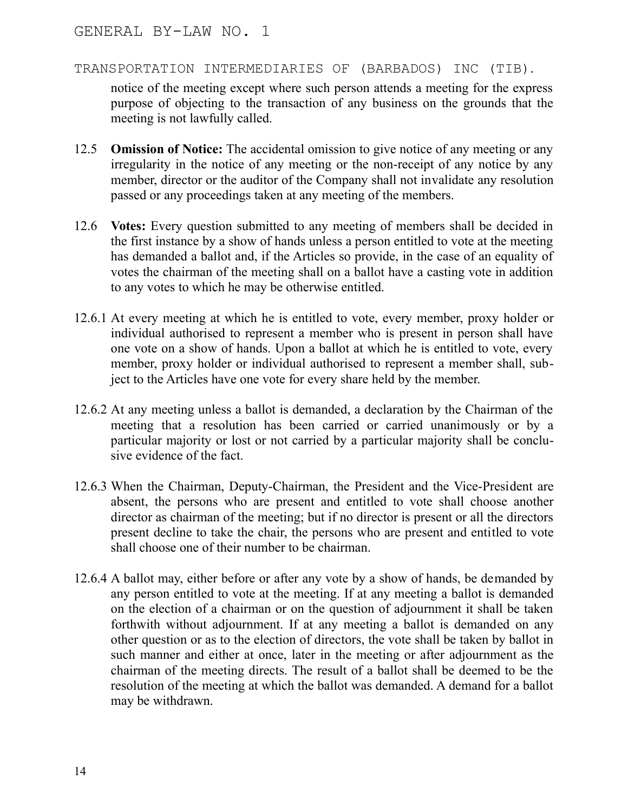notice of the meeting except where such person attends a meeting for the express purpose of objecting to the transaction of any business on the grounds that the meeting is not lawfully called.

- 12.5 **Omission of Notice:** The accidental omission to give notice of any meeting or any irregularity in the notice of any meeting or the non-receipt of any notice by any member, director or the auditor of the Company shall not invalidate any resolution passed or any proceedings taken at any meeting of the members.
- 12.6 **Votes:** Every question submitted to any meeting of members shall be decided in the first instance by a show of hands unless a person entitled to vote at the meeting has demanded a ballot and, if the Articles so provide, in the case of an equality of votes the chairman of the meeting shall on a ballot have a casting vote in addition to any votes to which he may be otherwise entitled.
- 12.6.1 At every meeting at which he is entitled to vote, every member, proxy holder or individual authorised to represent a member who is present in person shall have one vote on a show of hands. Upon a ballot at which he is entitled to vote, every member, proxy holder or individual authorised to represent a member shall, subject to the Articles have one vote for every share held by the member.
- 12.6.2 At any meeting unless a ballot is demanded, a declaration by the Chairman of the meeting that a resolution has been carried or carried unanimously or by a particular majority or lost or not carried by a particular majority shall be conclusive evidence of the fact.
- 12.6.3 When the Chairman, Deputy-Chairman, the President and the Vice-President are absent, the persons who are present and entitled to vote shall choose another director as chairman of the meeting; but if no director is present or all the directors present decline to take the chair, the persons who are present and entitled to vote shall choose one of their number to be chairman.
- 12.6.4 A ballot may, either before or after any vote by a show of hands, be demanded by any person entitled to vote at the meeting. If at any meeting a ballot is demanded on the election of a chairman or on the question of adjournment it shall be taken forthwith without adjournment. If at any meeting a ballot is demanded on any other question or as to the election of directors, the vote shall be taken by ballot in such manner and either at once, later in the meeting or after adjournment as the chairman of the meeting directs. The result of a ballot shall be deemed to be the resolution of the meeting at which the ballot was demanded. A demand for a ballot may be withdrawn.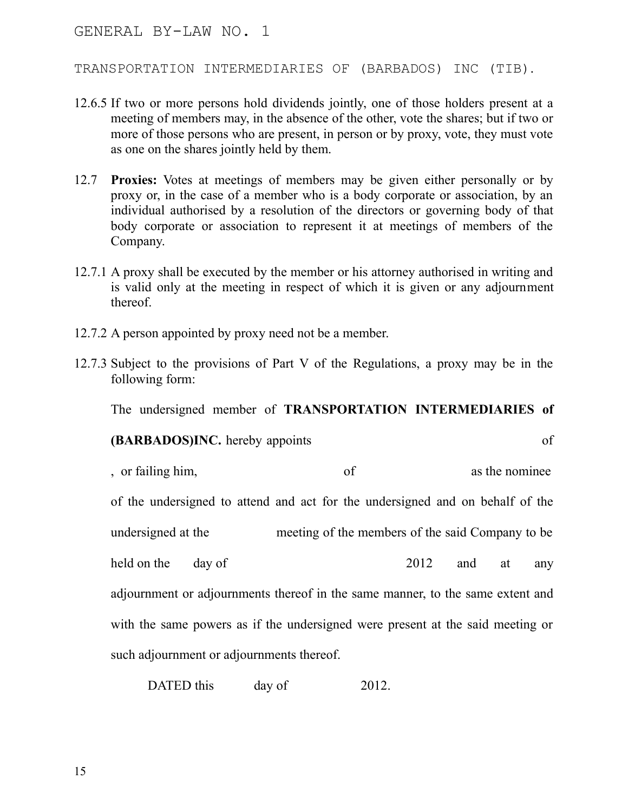TRANSPORTATION INTERMEDIARIES OF (BARBADOS) INC (TIB).

- 12.6.5 If two or more persons hold dividends jointly, one of those holders present at a meeting of members may, in the absence of the other, vote the shares; but if two or more of those persons who are present, in person or by proxy, vote, they must vote as one on the shares jointly held by them.
- 12.7 **Proxies:** Votes at meetings of members may be given either personally or by proxy or, in the case of a member who is a body corporate or association, by an individual authorised by a resolution of the directors or governing body of that body corporate or association to represent it at meetings of members of the Company.
- 12.7.1 A proxy shall be executed by the member or his attorney authorised in writing and is valid only at the meeting in respect of which it is given or any adjournment thereof.
- 12.7.2 A person appointed by proxy need not be a member.
- 12.7.3 Subject to the provisions of Part V of the Regulations, a proxy may be in the following form:

The undersigned member of **TRANSPORTATION INTERMEDIARIES of**

**(BARBADOS)INC.** hereby appoints of , or failing him, of as the nominee of the undersigned to attend and act for the undersigned and on behalf of the undersigned at the meeting of the members of the said Company to be held on the day of 2012 and at any adjournment or adjournments thereof in the same manner, to the same extent and with the same powers as if the undersigned were present at the said meeting or such adjournment or adjournments thereof.

DATED this day of 2012.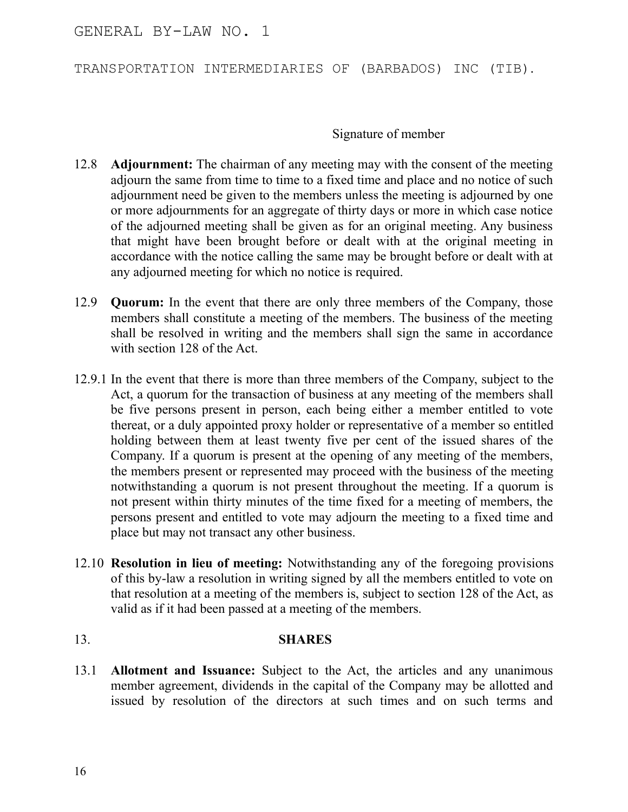TRANSPORTATION INTERMEDIARIES OF (BARBADOS) INC (TIB).

Signature of member

- 12.8 **Adjournment:** The chairman of any meeting may with the consent of the meeting adjourn the same from time to time to a fixed time and place and no notice of such adjournment need be given to the members unless the meeting is adjourned by one or more adjournments for an aggregate of thirty days or more in which case notice of the adjourned meeting shall be given as for an original meeting. Any business that might have been brought before or dealt with at the original meeting in accordance with the notice calling the same may be brought before or dealt with at any adjourned meeting for which no notice is required.
- 12.9 **Quorum:** In the event that there are only three members of the Company, those members shall constitute a meeting of the members. The business of the meeting shall be resolved in writing and the members shall sign the same in accordance with section 128 of the Act.
- 12.9.1 In the event that there is more than three members of the Company, subject to the Act, a quorum for the transaction of business at any meeting of the members shall be five persons present in person, each being either a member entitled to vote thereat, or a duly appointed proxy holder or representative of a member so entitled holding between them at least twenty five per cent of the issued shares of the Company. If a quorum is present at the opening of any meeting of the members, the members present or represented may proceed with the business of the meeting notwithstanding a quorum is not present throughout the meeting. If a quorum is not present within thirty minutes of the time fixed for a meeting of members, the persons present and entitled to vote may adjourn the meeting to a fixed time and place but may not transact any other business.
- 12.10 **Resolution in lieu of meeting:** Notwithstanding any of the foregoing provisions of this by-law a resolution in writing signed by all the members entitled to vote on that resolution at a meeting of the members is, subject to section 128 of the Act, as valid as if it had been passed at a meeting of the members.

# 13. **SHARES**

13.1 **Allotment and Issuance:** Subject to the Act, the articles and any unanimous member agreement, dividends in the capital of the Company may be allotted and issued by resolution of the directors at such times and on such terms and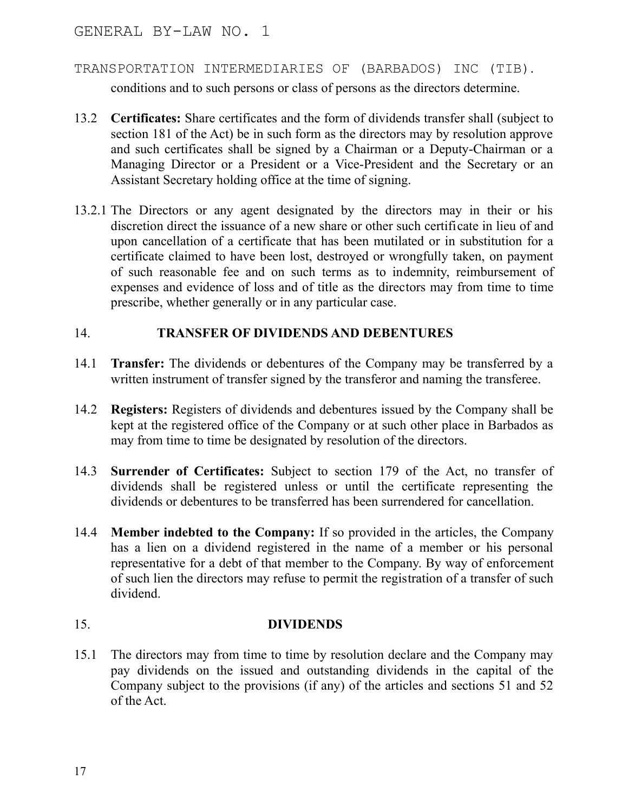- TRANSPORTATION INTERMEDIARIES OF (BARBADOS) INC (TIB). conditions and to such persons or class of persons as the directors determine.
- 13.2 **Certificates:** Share certificates and the form of dividends transfer shall (subject to section 181 of the Act) be in such form as the directors may by resolution approve and such certificates shall be signed by a Chairman or a Deputy-Chairman or a Managing Director or a President or a Vice-President and the Secretary or an Assistant Secretary holding office at the time of signing.
- 13.2.1 The Directors or any agent designated by the directors may in their or his discretion direct the issuance of a new share or other such certificate in lieu of and upon cancellation of a certificate that has been mutilated or in substitution for a certificate claimed to have been lost, destroyed or wrongfully taken, on payment of such reasonable fee and on such terms as to indemnity, reimbursement of expenses and evidence of loss and of title as the directors may from time to time prescribe, whether generally or in any particular case.

## 14. **TRANSFER OF DIVIDENDS AND DEBENTURES**

- 14.1 **Transfer:** The dividends or debentures of the Company may be transferred by a written instrument of transfer signed by the transferor and naming the transferee.
- 14.2 **Registers:** Registers of dividends and debentures issued by the Company shall be kept at the registered office of the Company or at such other place in Barbados as may from time to time be designated by resolution of the directors.
- 14.3 **Surrender of Certificates:** Subject to section 179 of the Act, no transfer of dividends shall be registered unless or until the certificate representing the dividends or debentures to be transferred has been surrendered for cancellation.
- 14.4 **Member indebted to the Company:** If so provided in the articles, the Company has a lien on a dividend registered in the name of a member or his personal representative for a debt of that member to the Company. By way of enforcement of such lien the directors may refuse to permit the registration of a transfer of such dividend.

# 15. **DIVIDENDS**

15.1 The directors may from time to time by resolution declare and the Company may pay dividends on the issued and outstanding dividends in the capital of the Company subject to the provisions (if any) of the articles and sections 51 and 52 of the Act.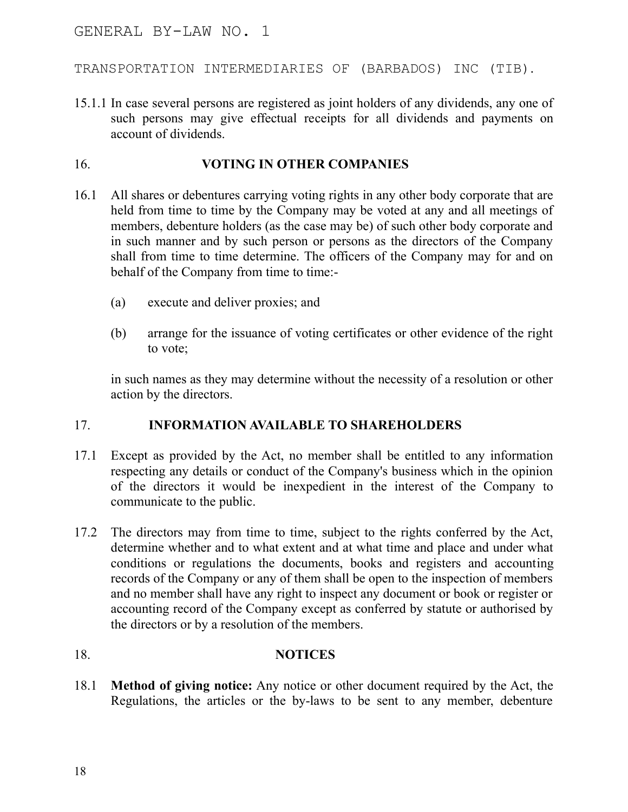#### TRANSPORTATION INTERMEDIARIES OF (BARBADOS) INC (TIB).

15.1.1 In case several persons are registered as joint holders of any dividends, any one of such persons may give effectual receipts for all dividends and payments on account of dividends.

#### 16. **VOTING IN OTHER COMPANIES**

- 16.1 All shares or debentures carrying voting rights in any other body corporate that are held from time to time by the Company may be voted at any and all meetings of members, debenture holders (as the case may be) of such other body corporate and in such manner and by such person or persons as the directors of the Company shall from time to time determine. The officers of the Company may for and on behalf of the Company from time to time:-
	- (a) execute and deliver proxies; and
	- (b) arrange for the issuance of voting certificates or other evidence of the right to vote;

in such names as they may determine without the necessity of a resolution or other action by the directors.

### 17. **INFORMATION AVAILABLE TO SHAREHOLDERS**

- 17.1 Except as provided by the Act, no member shall be entitled to any information respecting any details or conduct of the Company's business which in the opinion of the directors it would be inexpedient in the interest of the Company to communicate to the public.
- 17.2 The directors may from time to time, subject to the rights conferred by the Act, determine whether and to what extent and at what time and place and under what conditions or regulations the documents, books and registers and accounting records of the Company or any of them shall be open to the inspection of members and no member shall have any right to inspect any document or book or register or accounting record of the Company except as conferred by statute or authorised by the directors or by a resolution of the members.

### 18. **NOTICES**

18.1 **Method of giving notice:** Any notice or other document required by the Act, the Regulations, the articles or the by-laws to be sent to any member, debenture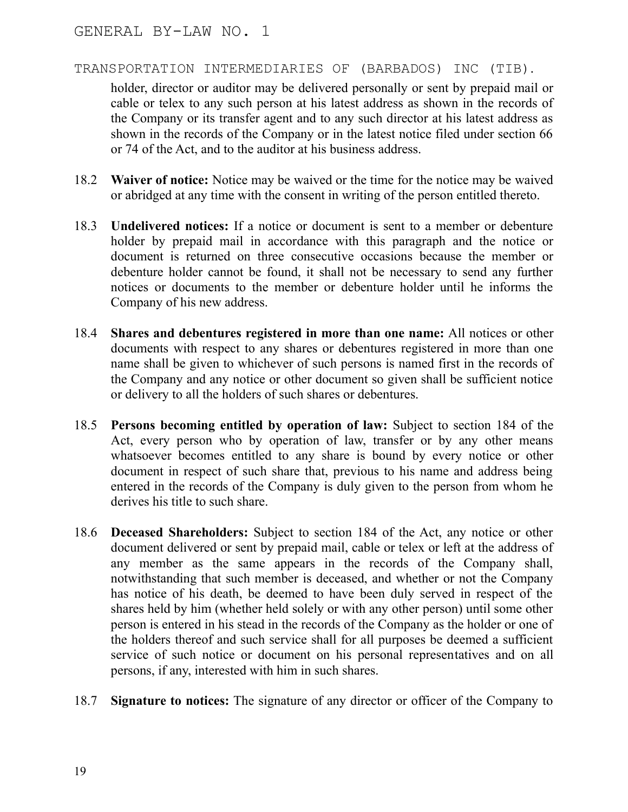holder, director or auditor may be delivered personally or sent by prepaid mail or cable or telex to any such person at his latest address as shown in the records of the Company or its transfer agent and to any such director at his latest address as shown in the records of the Company or in the latest notice filed under section 66 or 74 of the Act, and to the auditor at his business address.

- 18.2 **Waiver of notice:** Notice may be waived or the time for the notice may be waived or abridged at any time with the consent in writing of the person entitled thereto.
- 18.3 **Undelivered notices:** If a notice or document is sent to a member or debenture holder by prepaid mail in accordance with this paragraph and the notice or document is returned on three consecutive occasions because the member or debenture holder cannot be found, it shall not be necessary to send any further notices or documents to the member or debenture holder until he informs the Company of his new address.
- 18.4 **Shares and debentures registered in more than one name:** All notices or other documents with respect to any shares or debentures registered in more than one name shall be given to whichever of such persons is named first in the records of the Company and any notice or other document so given shall be sufficient notice or delivery to all the holders of such shares or debentures.
- 18.5 **Persons becoming entitled by operation of law:** Subject to section 184 of the Act, every person who by operation of law, transfer or by any other means whatsoever becomes entitled to any share is bound by every notice or other document in respect of such share that, previous to his name and address being entered in the records of the Company is duly given to the person from whom he derives his title to such share.
- 18.6 **Deceased Shareholders:** Subject to section 184 of the Act, any notice or other document delivered or sent by prepaid mail, cable or telex or left at the address of any member as the same appears in the records of the Company shall, notwithstanding that such member is deceased, and whether or not the Company has notice of his death, be deemed to have been duly served in respect of the shares held by him (whether held solely or with any other person) until some other person is entered in his stead in the records of the Company as the holder or one of the holders thereof and such service shall for all purposes be deemed a sufficient service of such notice or document on his personal representatives and on all persons, if any, interested with him in such shares.
- 18.7 **Signature to notices:** The signature of any director or officer of the Company to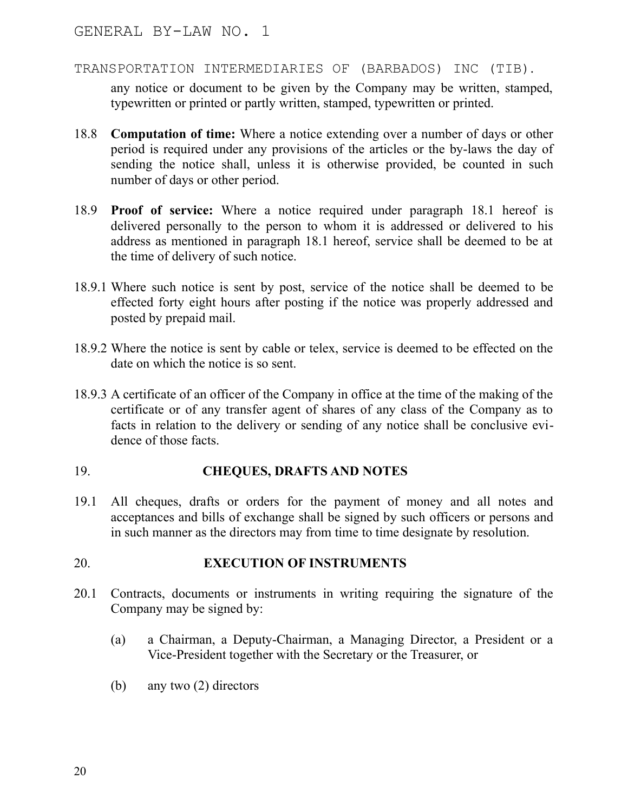TRANSPORTATION INTERMEDIARIES OF (BARBADOS) INC (TIB).

any notice or document to be given by the Company may be written, stamped, typewritten or printed or partly written, stamped, typewritten or printed.

- 18.8 **Computation of time:** Where a notice extending over a number of days or other period is required under any provisions of the articles or the by-laws the day of sending the notice shall, unless it is otherwise provided, be counted in such number of days or other period.
- 18.9 **Proof of service:** Where a notice required under paragraph 18.1 hereof is delivered personally to the person to whom it is addressed or delivered to his address as mentioned in paragraph 18.1 hereof, service shall be deemed to be at the time of delivery of such notice.
- 18.9.1 Where such notice is sent by post, service of the notice shall be deemed to be effected forty eight hours after posting if the notice was properly addressed and posted by prepaid mail.
- 18.9.2 Where the notice is sent by cable or telex, service is deemed to be effected on the date on which the notice is so sent.
- 18.9.3 A certificate of an officer of the Company in office at the time of the making of the certificate or of any transfer agent of shares of any class of the Company as to facts in relation to the delivery or sending of any notice shall be conclusive evidence of those facts.

### 19. **CHEQUES, DRAFTS AND NOTES**

19.1 All cheques, drafts or orders for the payment of money and all notes and acceptances and bills of exchange shall be signed by such officers or persons and in such manner as the directors may from time to time designate by resolution.

### 20. **EXECUTION OF INSTRUMENTS**

- 20.1 Contracts, documents or instruments in writing requiring the signature of the Company may be signed by:
	- (a) a Chairman, a Deputy-Chairman, a Managing Director, a President or a Vice-President together with the Secretary or the Treasurer, or
	- (b) any two (2) directors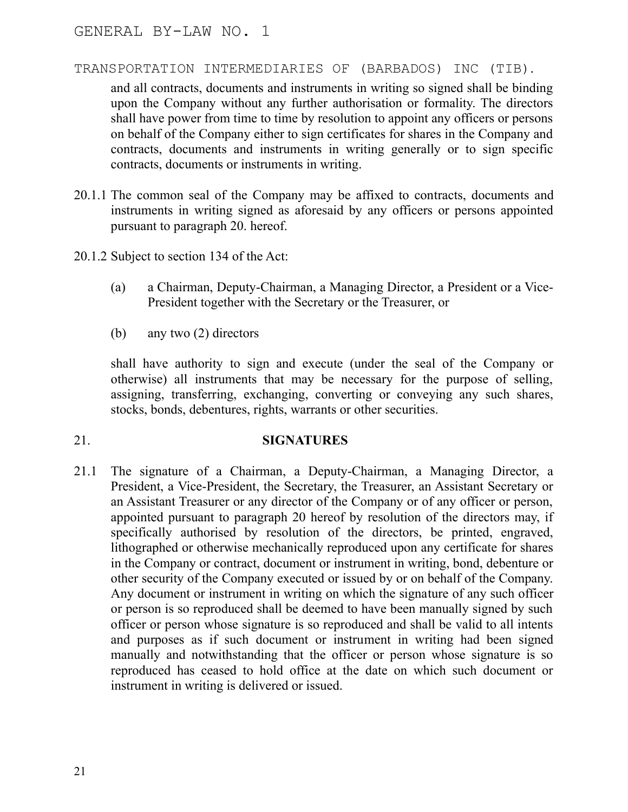and all contracts, documents and instruments in writing so signed shall be binding upon the Company without any further authorisation or formality. The directors shall have power from time to time by resolution to appoint any officers or persons on behalf of the Company either to sign certificates for shares in the Company and contracts, documents and instruments in writing generally or to sign specific contracts, documents or instruments in writing.

- 20.1.1 The common seal of the Company may be affixed to contracts, documents and instruments in writing signed as aforesaid by any officers or persons appointed pursuant to paragraph 20. hereof.
- 20.1.2 Subject to section 134 of the Act:
	- (a) a Chairman, Deputy-Chairman, a Managing Director, a President or a Vice-President together with the Secretary or the Treasurer, or
	- (b) any two (2) directors

shall have authority to sign and execute (under the seal of the Company or otherwise) all instruments that may be necessary for the purpose of selling, assigning, transferring, exchanging, converting or conveying any such shares, stocks, bonds, debentures, rights, warrants or other securities.

# 21. **SIGNATURES**

21.1 The signature of a Chairman, a Deputy-Chairman, a Managing Director, a President, a Vice-President, the Secretary, the Treasurer, an Assistant Secretary or an Assistant Treasurer or any director of the Company or of any officer or person, appointed pursuant to paragraph 20 hereof by resolution of the directors may, if specifically authorised by resolution of the directors, be printed, engraved, lithographed or otherwise mechanically reproduced upon any certificate for shares in the Company or contract, document or instrument in writing, bond, debenture or other security of the Company executed or issued by or on behalf of the Company. Any document or instrument in writing on which the signature of any such officer or person is so reproduced shall be deemed to have been manually signed by such officer or person whose signature is so reproduced and shall be valid to all intents and purposes as if such document or instrument in writing had been signed manually and notwithstanding that the officer or person whose signature is so reproduced has ceased to hold office at the date on which such document or instrument in writing is delivered or issued.